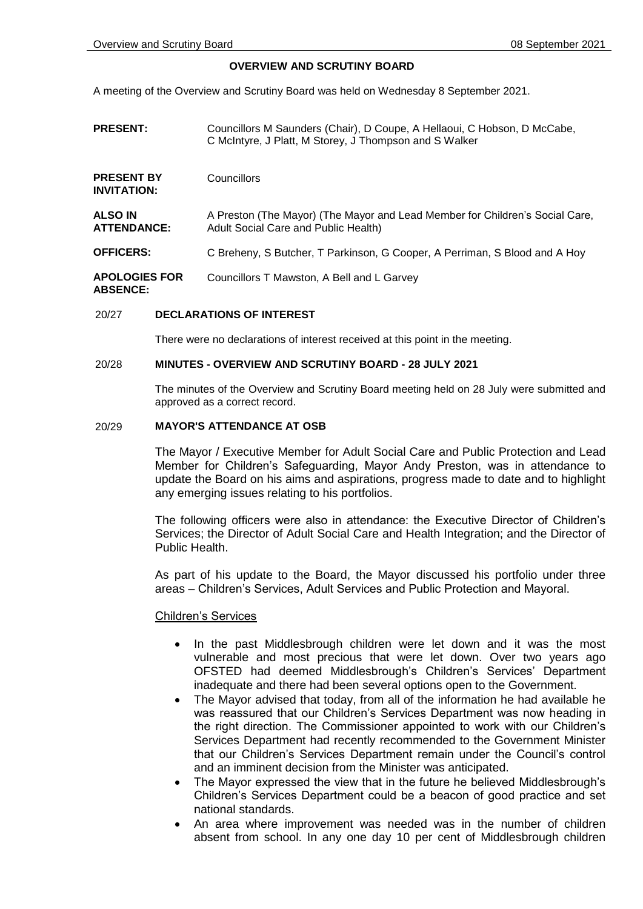## **OVERVIEW AND SCRUTINY BOARD**

A meeting of the Overview and Scrutiny Board was held on Wednesday 8 September 2021.

**PRESENT:** Councillors M Saunders (Chair), D Coupe, A Hellaoui, C Hobson, D McCabe, C McIntyre, J Platt, M Storey, J Thompson and S Walker **PRESENT BY INVITATION: Councillors ALSO IN ATTENDANCE:** A Preston (The Mayor) (The Mayor and Lead Member for Children's Social Care, Adult Social Care and Public Health) **OFFICERS:** C Breheny, S Butcher, T Parkinson, G Cooper, A Perriman, S Blood and A Hoy **APOLOGIES FOR ABSENCE:** Councillors T Mawston, A Bell and L Garvey

### 20/27 **DECLARATIONS OF INTEREST**

There were no declarations of interest received at this point in the meeting.

#### 20/28 **MINUTES - OVERVIEW AND SCRUTINY BOARD - 28 JULY 2021**

The minutes of the Overview and Scrutiny Board meeting held on 28 July were submitted and approved as a correct record.

### 20/29 **MAYOR'S ATTENDANCE AT OSB**

The Mayor / Executive Member for Adult Social Care and Public Protection and Lead Member for Children's Safeguarding, Mayor Andy Preston, was in attendance to update the Board on his aims and aspirations, progress made to date and to highlight any emerging issues relating to his portfolios.

The following officers were also in attendance: the Executive Director of Children's Services; the Director of Adult Social Care and Health Integration; and the Director of Public Health.

As part of his update to the Board, the Mayor discussed his portfolio under three areas – Children's Services, Adult Services and Public Protection and Mayoral.

# Children's Services

- In the past Middlesbrough children were let down and it was the most vulnerable and most precious that were let down. Over two years ago OFSTED had deemed Middlesbrough's Children's Services' Department inadequate and there had been several options open to the Government.
- The Mayor advised that today, from all of the information he had available he was reassured that our Children's Services Department was now heading in the right direction. The Commissioner appointed to work with our Children's Services Department had recently recommended to the Government Minister that our Children's Services Department remain under the Council's control and an imminent decision from the Minister was anticipated.
- The Mayor expressed the view that in the future he believed Middlesbrough's Children's Services Department could be a beacon of good practice and set national standards.
- An area where improvement was needed was in the number of children absent from school. In any one day 10 per cent of Middlesbrough children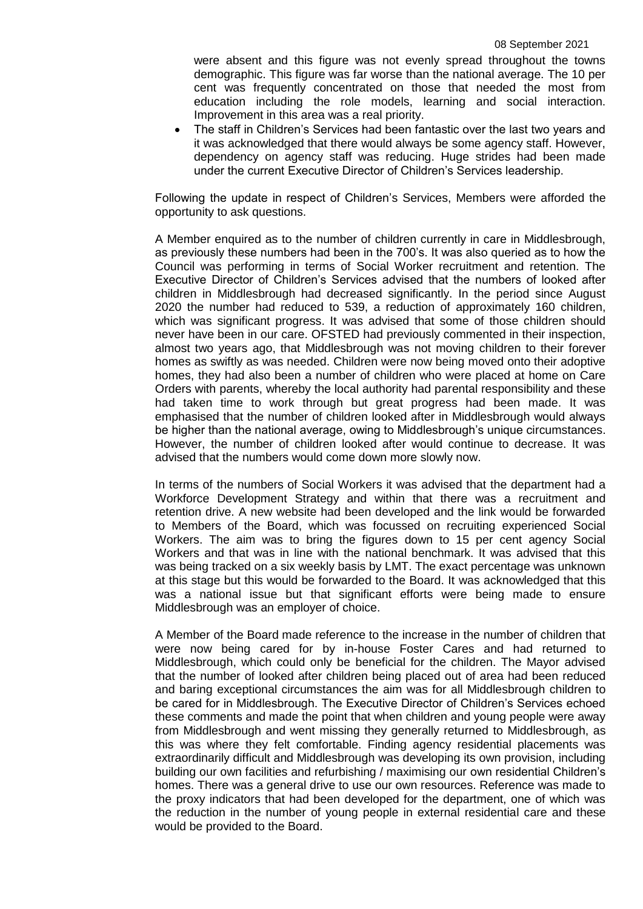were absent and this figure was not evenly spread throughout the towns demographic. This figure was far worse than the national average. The 10 per cent was frequently concentrated on those that needed the most from education including the role models, learning and social interaction. Improvement in this area was a real priority.

 The staff in Children's Services had been fantastic over the last two years and it was acknowledged that there would always be some agency staff. However, dependency on agency staff was reducing. Huge strides had been made under the current Executive Director of Children's Services leadership.

Following the update in respect of Children's Services, Members were afforded the opportunity to ask questions.

A Member enquired as to the number of children currently in care in Middlesbrough, as previously these numbers had been in the 700's. It was also queried as to how the Council was performing in terms of Social Worker recruitment and retention. The Executive Director of Children's Services advised that the numbers of looked after children in Middlesbrough had decreased significantly. In the period since August 2020 the number had reduced to 539, a reduction of approximately 160 children, which was significant progress. It was advised that some of those children should never have been in our care. OFSTED had previously commented in their inspection, almost two years ago, that Middlesbrough was not moving children to their forever homes as swiftly as was needed. Children were now being moved onto their adoptive homes, they had also been a number of children who were placed at home on Care Orders with parents, whereby the local authority had parental responsibility and these had taken time to work through but great progress had been made. It was emphasised that the number of children looked after in Middlesbrough would always be higher than the national average, owing to Middlesbrough's unique circumstances. However, the number of children looked after would continue to decrease. It was advised that the numbers would come down more slowly now.

In terms of the numbers of Social Workers it was advised that the department had a Workforce Development Strategy and within that there was a recruitment and retention drive. A new website had been developed and the link would be forwarded to Members of the Board, which was focussed on recruiting experienced Social Workers. The aim was to bring the figures down to 15 per cent agency Social Workers and that was in line with the national benchmark. It was advised that this was being tracked on a six weekly basis by LMT. The exact percentage was unknown at this stage but this would be forwarded to the Board. It was acknowledged that this was a national issue but that significant efforts were being made to ensure Middlesbrough was an employer of choice.

A Member of the Board made reference to the increase in the number of children that were now being cared for by in-house Foster Cares and had returned to Middlesbrough, which could only be beneficial for the children. The Mayor advised that the number of looked after children being placed out of area had been reduced and baring exceptional circumstances the aim was for all Middlesbrough children to be cared for in Middlesbrough. The Executive Director of Children's Services echoed these comments and made the point that when children and young people were away from Middlesbrough and went missing they generally returned to Middlesbrough, as this was where they felt comfortable. Finding agency residential placements was extraordinarily difficult and Middlesbrough was developing its own provision, including building our own facilities and refurbishing / maximising our own residential Children's homes. There was a general drive to use our own resources. Reference was made to the proxy indicators that had been developed for the department, one of which was the reduction in the number of young people in external residential care and these would be provided to the Board.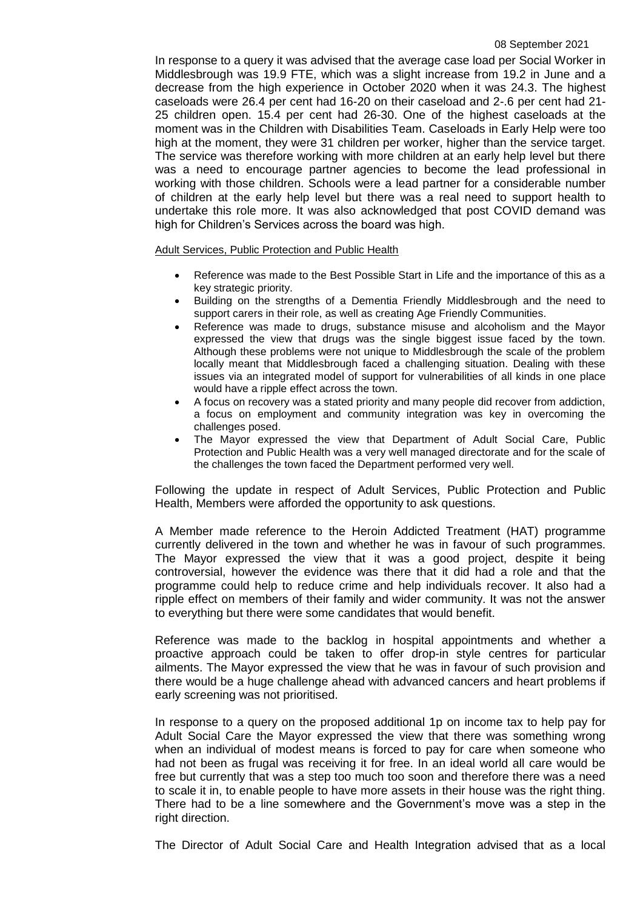In response to a query it was advised that the average case load per Social Worker in Middlesbrough was 19.9 FTE, which was a slight increase from 19.2 in June and a decrease from the high experience in October 2020 when it was 24.3. The highest caseloads were 26.4 per cent had 16-20 on their caseload and 2-.6 per cent had 21- 25 children open. 15.4 per cent had 26-30. One of the highest caseloads at the moment was in the Children with Disabilities Team. Caseloads in Early Help were too high at the moment, they were 31 children per worker, higher than the service target. The service was therefore working with more children at an early help level but there was a need to encourage partner agencies to become the lead professional in working with those children. Schools were a lead partner for a considerable number of children at the early help level but there was a real need to support health to undertake this role more. It was also acknowledged that post COVID demand was high for Children's Services across the board was high.

Adult Services, Public Protection and Public Health

- Reference was made to the Best Possible Start in Life and the importance of this as a key strategic priority.
- Building on the strengths of a Dementia Friendly Middlesbrough and the need to support carers in their role, as well as creating Age Friendly Communities.
- Reference was made to drugs, substance misuse and alcoholism and the Mayor expressed the view that drugs was the single biggest issue faced by the town. Although these problems were not unique to Middlesbrough the scale of the problem locally meant that Middlesbrough faced a challenging situation. Dealing with these issues via an integrated model of support for vulnerabilities of all kinds in one place would have a ripple effect across the town.
- A focus on recovery was a stated priority and many people did recover from addiction, a focus on employment and community integration was key in overcoming the challenges posed.
- The Mayor expressed the view that Department of Adult Social Care, Public Protection and Public Health was a very well managed directorate and for the scale of the challenges the town faced the Department performed very well.

Following the update in respect of Adult Services, Public Protection and Public Health, Members were afforded the opportunity to ask questions.

A Member made reference to the Heroin Addicted Treatment (HAT) programme currently delivered in the town and whether he was in favour of such programmes. The Mayor expressed the view that it was a good project, despite it being controversial, however the evidence was there that it did had a role and that the programme could help to reduce crime and help individuals recover. It also had a ripple effect on members of their family and wider community. It was not the answer to everything but there were some candidates that would benefit.

Reference was made to the backlog in hospital appointments and whether a proactive approach could be taken to offer drop-in style centres for particular ailments. The Mayor expressed the view that he was in favour of such provision and there would be a huge challenge ahead with advanced cancers and heart problems if early screening was not prioritised.

In response to a query on the proposed additional 1p on income tax to help pay for Adult Social Care the Mayor expressed the view that there was something wrong when an individual of modest means is forced to pay for care when someone who had not been as frugal was receiving it for free. In an ideal world all care would be free but currently that was a step too much too soon and therefore there was a need to scale it in, to enable people to have more assets in their house was the right thing. There had to be a line somewhere and the Government's move was a step in the right direction.

The Director of Adult Social Care and Health Integration advised that as a local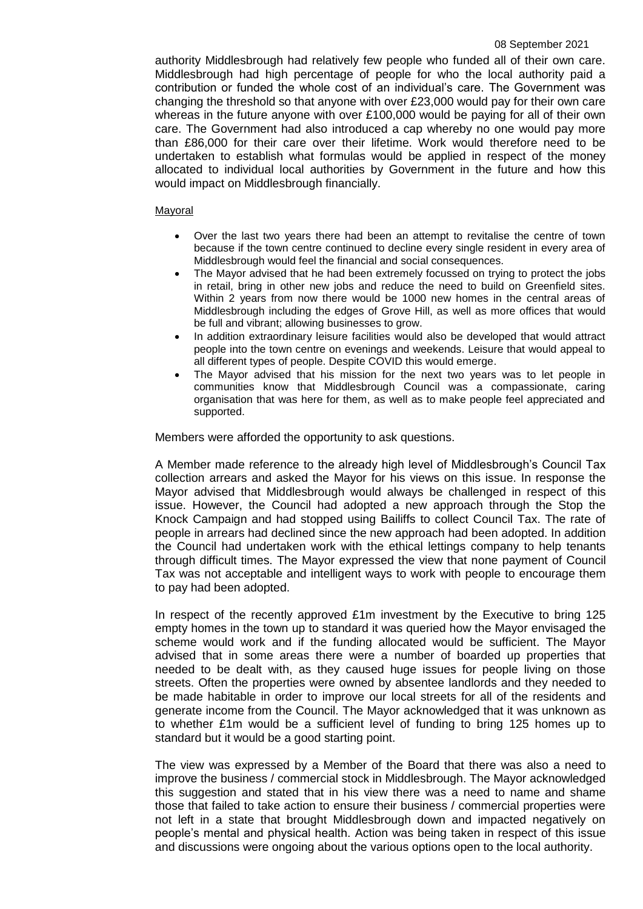authority Middlesbrough had relatively few people who funded all of their own care. Middlesbrough had high percentage of people for who the local authority paid a contribution or funded the whole cost of an individual's care. The Government was changing the threshold so that anyone with over £23,000 would pay for their own care whereas in the future anyone with over £100,000 would be paying for all of their own care. The Government had also introduced a cap whereby no one would pay more than £86,000 for their care over their lifetime. Work would therefore need to be undertaken to establish what formulas would be applied in respect of the money allocated to individual local authorities by Government in the future and how this would impact on Middlesbrough financially.

### Mayoral

- Over the last two years there had been an attempt to revitalise the centre of town because if the town centre continued to decline every single resident in every area of Middlesbrough would feel the financial and social consequences.
- The Mayor advised that he had been extremely focussed on trying to protect the jobs in retail, bring in other new jobs and reduce the need to build on Greenfield sites. Within 2 years from now there would be 1000 new homes in the central areas of Middlesbrough including the edges of Grove Hill, as well as more offices that would be full and vibrant; allowing businesses to grow.
- In addition extraordinary leisure facilities would also be developed that would attract people into the town centre on evenings and weekends. Leisure that would appeal to all different types of people. Despite COVID this would emerge.
- The Mayor advised that his mission for the next two years was to let people in communities know that Middlesbrough Council was a compassionate, caring organisation that was here for them, as well as to make people feel appreciated and supported.

Members were afforded the opportunity to ask questions.

A Member made reference to the already high level of Middlesbrough's Council Tax collection arrears and asked the Mayor for his views on this issue. In response the Mayor advised that Middlesbrough would always be challenged in respect of this issue. However, the Council had adopted a new approach through the Stop the Knock Campaign and had stopped using Bailiffs to collect Council Tax. The rate of people in arrears had declined since the new approach had been adopted. In addition the Council had undertaken work with the ethical lettings company to help tenants through difficult times. The Mayor expressed the view that none payment of Council Tax was not acceptable and intelligent ways to work with people to encourage them to pay had been adopted.

In respect of the recently approved £1m investment by the Executive to bring 125 empty homes in the town up to standard it was queried how the Mayor envisaged the scheme would work and if the funding allocated would be sufficient. The Mayor advised that in some areas there were a number of boarded up properties that needed to be dealt with, as they caused huge issues for people living on those streets. Often the properties were owned by absentee landlords and they needed to be made habitable in order to improve our local streets for all of the residents and generate income from the Council. The Mayor acknowledged that it was unknown as to whether £1m would be a sufficient level of funding to bring 125 homes up to standard but it would be a good starting point.

The view was expressed by a Member of the Board that there was also a need to improve the business / commercial stock in Middlesbrough. The Mayor acknowledged this suggestion and stated that in his view there was a need to name and shame those that failed to take action to ensure their business / commercial properties were not left in a state that brought Middlesbrough down and impacted negatively on people's mental and physical health. Action was being taken in respect of this issue and discussions were ongoing about the various options open to the local authority.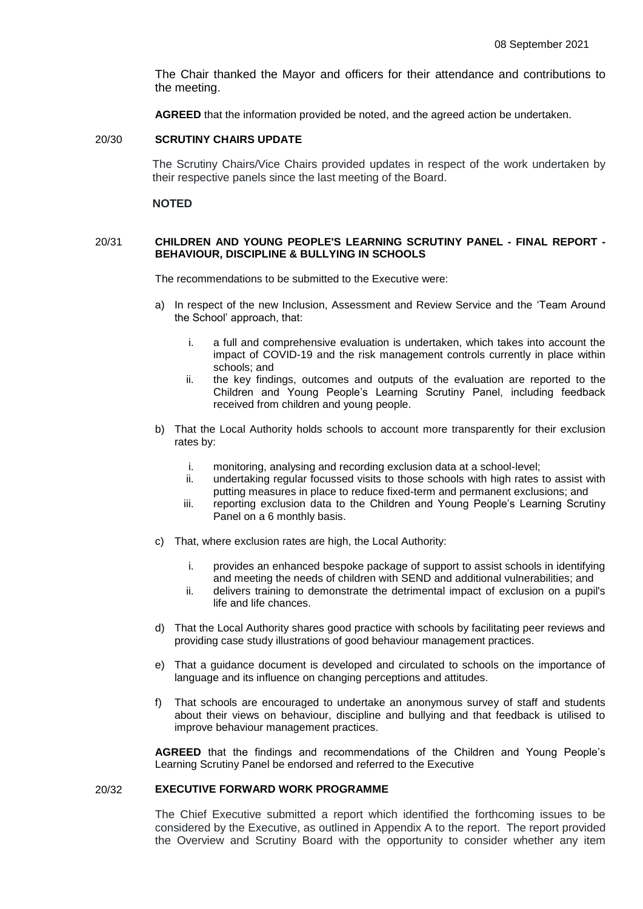The Chair thanked the Mayor and officers for their attendance and contributions to the meeting.

**AGREED** that the information provided be noted, and the agreed action be undertaken.

#### 20/30 **SCRUTINY CHAIRS UPDATE**

The Scrutiny Chairs/Vice Chairs provided updates in respect of the work undertaken by their respective panels since the last meeting of the Board.

#### **NOTED**

## 20/31 **CHILDREN AND YOUNG PEOPLE'S LEARNING SCRUTINY PANEL - FINAL REPORT - BEHAVIOUR, DISCIPLINE & BULLYING IN SCHOOLS**

The recommendations to be submitted to the Executive were:

- a) In respect of the new Inclusion, Assessment and Review Service and the 'Team Around the School' approach, that:
	- i. a full and comprehensive evaluation is undertaken, which takes into account the impact of COVID-19 and the risk management controls currently in place within schools; and
	- ii. the key findings, outcomes and outputs of the evaluation are reported to the Children and Young People's Learning Scrutiny Panel, including feedback received from children and young people.
- b) That the Local Authority holds schools to account more transparently for their exclusion rates by:
	- i. monitoring, analysing and recording exclusion data at a school-level;
	- ii. undertaking regular focussed visits to those schools with high rates to assist with putting measures in place to reduce fixed-term and permanent exclusions; and
	- iii. reporting exclusion data to the Children and Young People's Learning Scrutiny Panel on a 6 monthly basis.
- c) That, where exclusion rates are high, the Local Authority:
	- i. provides an enhanced bespoke package of support to assist schools in identifying and meeting the needs of children with SEND and additional vulnerabilities; and
	- ii. delivers training to demonstrate the detrimental impact of exclusion on a pupil's life and life chances.
- d) That the Local Authority shares good practice with schools by facilitating peer reviews and providing case study illustrations of good behaviour management practices.
- e) That a guidance document is developed and circulated to schools on the importance of language and its influence on changing perceptions and attitudes.
- f) That schools are encouraged to undertake an anonymous survey of staff and students about their views on behaviour, discipline and bullying and that feedback is utilised to improve behaviour management practices.

**AGREED** that the findings and recommendations of the Children and Young People's Learning Scrutiny Panel be endorsed and referred to the Executive

## 20/32 **EXECUTIVE FORWARD WORK PROGRAMME**

The Chief Executive submitted a report which identified the forthcoming issues to be considered by the Executive, as outlined in Appendix A to the report. The report provided the Overview and Scrutiny Board with the opportunity to consider whether any item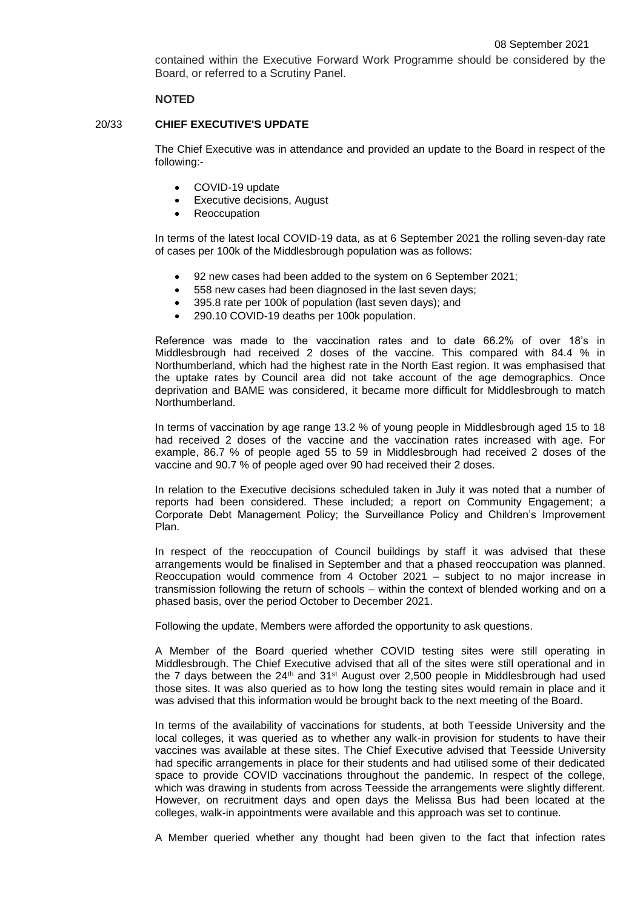contained within the Executive Forward Work Programme should be considered by the Board, or referred to a Scrutiny Panel.

### **NOTED**

#### 20/33 **CHIEF EXECUTIVE'S UPDATE**

The Chief Executive was in attendance and provided an update to the Board in respect of the following:-

- COVID-19 update
- Executive decisions, August
- Reoccupation

In terms of the latest local COVID-19 data, as at 6 September 2021 the rolling seven-day rate of cases per 100k of the Middlesbrough population was as follows:

- 92 new cases had been added to the system on 6 September 2021;
- 558 new cases had been diagnosed in the last seven days;
- 395.8 rate per 100k of population (last seven days); and
- 290.10 COVID-19 deaths per 100k population.

Reference was made to the vaccination rates and to date 66.2% of over 18's in Middlesbrough had received 2 doses of the vaccine. This compared with 84.4 % in Northumberland, which had the highest rate in the North East region. It was emphasised that the uptake rates by Council area did not take account of the age demographics. Once deprivation and BAME was considered, it became more difficult for Middlesbrough to match Northumberland.

In terms of vaccination by age range 13.2 % of young people in Middlesbrough aged 15 to 18 had received 2 doses of the vaccine and the vaccination rates increased with age. For example, 86.7 % of people aged 55 to 59 in Middlesbrough had received 2 doses of the vaccine and 90.7 % of people aged over 90 had received their 2 doses.

In relation to the Executive decisions scheduled taken in July it was noted that a number of reports had been considered. These included; a report on Community Engagement; a Corporate Debt Management Policy; the Surveillance Policy and Children's Improvement Plan.

In respect of the reoccupation of Council buildings by staff it was advised that these arrangements would be finalised in September and that a phased reoccupation was planned. Reoccupation would commence from 4 October 2021 – subject to no major increase in transmission following the return of schools – within the context of blended working and on a phased basis, over the period October to December 2021.

Following the update, Members were afforded the opportunity to ask questions.

A Member of the Board queried whether COVID testing sites were still operating in Middlesbrough. The Chief Executive advised that all of the sites were still operational and in the 7 days between the  $24<sup>th</sup>$  and  $31<sup>st</sup>$  August over 2,500 people in Middlesbrough had used those sites. It was also queried as to how long the testing sites would remain in place and it was advised that this information would be brought back to the next meeting of the Board.

In terms of the availability of vaccinations for students, at both Teesside University and the local colleges, it was queried as to whether any walk-in provision for students to have their vaccines was available at these sites. The Chief Executive advised that Teesside University had specific arrangements in place for their students and had utilised some of their dedicated space to provide COVID vaccinations throughout the pandemic. In respect of the college, which was drawing in students from across Teesside the arrangements were slightly different. However, on recruitment days and open days the Melissa Bus had been located at the colleges, walk-in appointments were available and this approach was set to continue.

A Member queried whether any thought had been given to the fact that infection rates